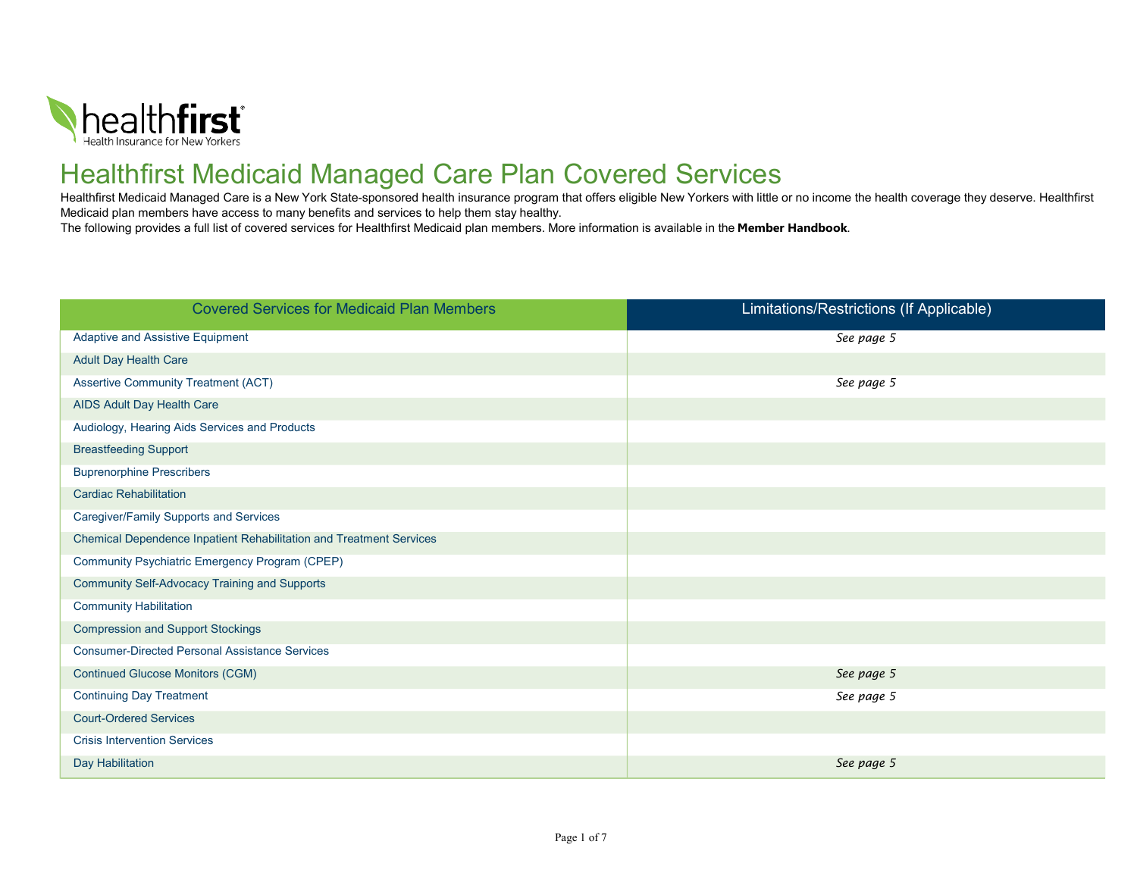

## Healthfirst Medicaid Managed Care Plan Covered Services

Healthfirst Medicaid Managed Care is a New York State-sponsored health insurance program that offers eligible New Yorkers with little or no income the health coverage they deserve. Healthfirst Medicaid plan members have access to many benefits and services to help them stay healthy.

The following provides a full list of covered services for Healthfirst Medicaid plan members. More information is available in the Member Handbook.

| <b>Covered Services for Medicaid Plan Members</b>                   | Limitations/Restrictions (If Applicable) |
|---------------------------------------------------------------------|------------------------------------------|
| <b>Adaptive and Assistive Equipment</b>                             | See page 5                               |
| <b>Adult Day Health Care</b>                                        |                                          |
| <b>Assertive Community Treatment (ACT)</b>                          | See page 5                               |
| AIDS Adult Day Health Care                                          |                                          |
| Audiology, Hearing Aids Services and Products                       |                                          |
| <b>Breastfeeding Support</b>                                        |                                          |
| <b>Buprenorphine Prescribers</b>                                    |                                          |
| <b>Cardiac Rehabilitation</b>                                       |                                          |
| Caregiver/Family Supports and Services                              |                                          |
| Chemical Dependence Inpatient Rehabilitation and Treatment Services |                                          |
| Community Psychiatric Emergency Program (CPEP)                      |                                          |
| <b>Community Self-Advocacy Training and Supports</b>                |                                          |
| <b>Community Habilitation</b>                                       |                                          |
| <b>Compression and Support Stockings</b>                            |                                          |
| <b>Consumer-Directed Personal Assistance Services</b>               |                                          |
| <b>Continued Glucose Monitors (CGM)</b>                             | See page 5                               |
| <b>Continuing Day Treatment</b>                                     | See page 5                               |
| <b>Court-Ordered Services</b>                                       |                                          |
| <b>Crisis Intervention Services</b>                                 |                                          |
| Day Habilitation                                                    | See page 5                               |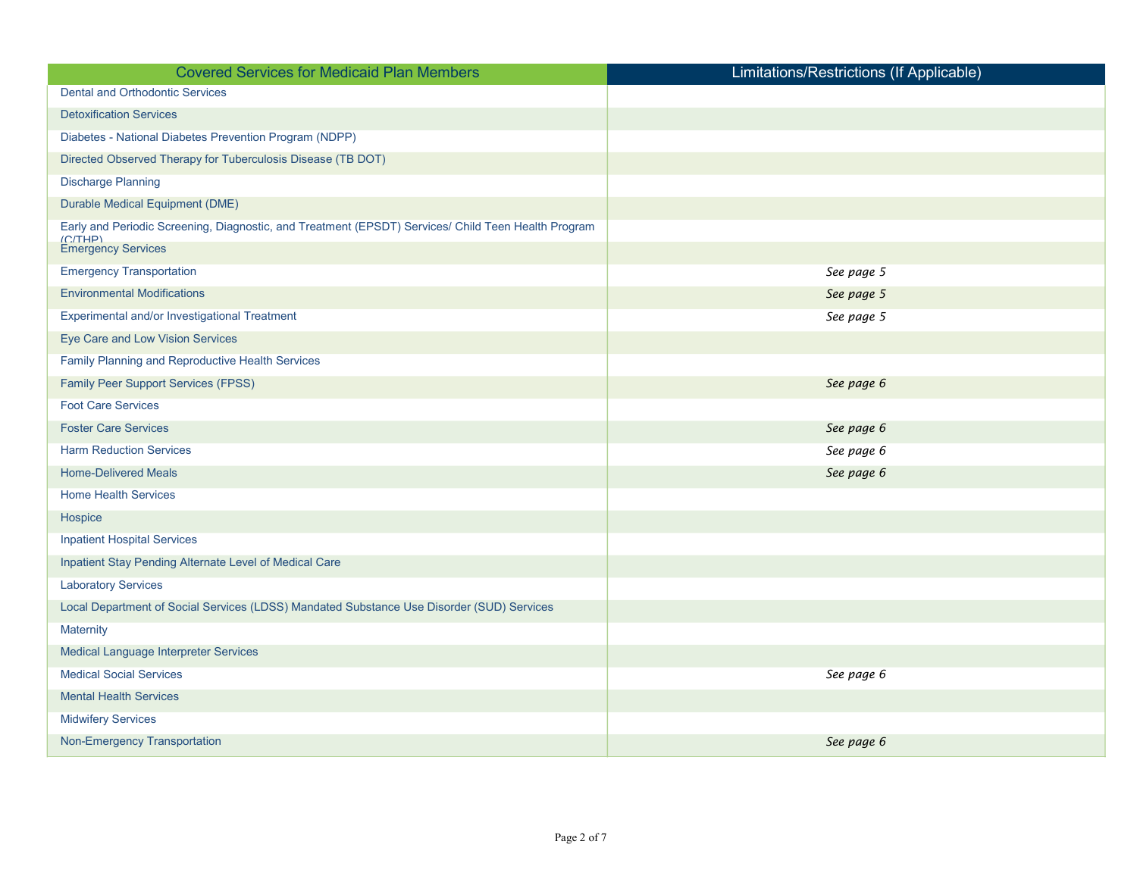| <b>Covered Services for Medicaid Plan Members</b>                                                   | Limitations/Restrictions (If Applicable) |
|-----------------------------------------------------------------------------------------------------|------------------------------------------|
| <b>Dental and Orthodontic Services</b>                                                              |                                          |
| <b>Detoxification Services</b>                                                                      |                                          |
| Diabetes - National Diabetes Prevention Program (NDPP)                                              |                                          |
| Directed Observed Therapy for Tuberculosis Disease (TB DOT)                                         |                                          |
| <b>Discharge Planning</b>                                                                           |                                          |
| Durable Medical Equipment (DME)                                                                     |                                          |
| Early and Periodic Screening, Diagnostic, and Treatment (EPSDT) Services/ Child Teen Health Program |                                          |
| (C/THP)<br><b>Emergency Services</b>                                                                |                                          |
| <b>Emergency Transportation</b>                                                                     | See page 5                               |
| <b>Environmental Modifications</b>                                                                  | See page 5                               |
| Experimental and/or Investigational Treatment                                                       | See page 5                               |
| Eye Care and Low Vision Services                                                                    |                                          |
| Family Planning and Reproductive Health Services                                                    |                                          |
| Family Peer Support Services (FPSS)                                                                 | See page 6                               |
| <b>Foot Care Services</b>                                                                           |                                          |
| <b>Foster Care Services</b>                                                                         | See page 6                               |
| <b>Harm Reduction Services</b>                                                                      | See page 6                               |
| <b>Home-Delivered Meals</b>                                                                         | See page 6                               |
| <b>Home Health Services</b>                                                                         |                                          |
| Hospice                                                                                             |                                          |
| <b>Inpatient Hospital Services</b>                                                                  |                                          |
| Inpatient Stay Pending Alternate Level of Medical Care                                              |                                          |
| <b>Laboratory Services</b>                                                                          |                                          |
| Local Department of Social Services (LDSS) Mandated Substance Use Disorder (SUD) Services           |                                          |
| <b>Maternity</b>                                                                                    |                                          |
| Medical Language Interpreter Services                                                               |                                          |
| <b>Medical Social Services</b>                                                                      | See page 6                               |
| <b>Mental Health Services</b>                                                                       |                                          |
| <b>Midwifery Services</b>                                                                           |                                          |
| Non-Emergency Transportation                                                                        | See page 6                               |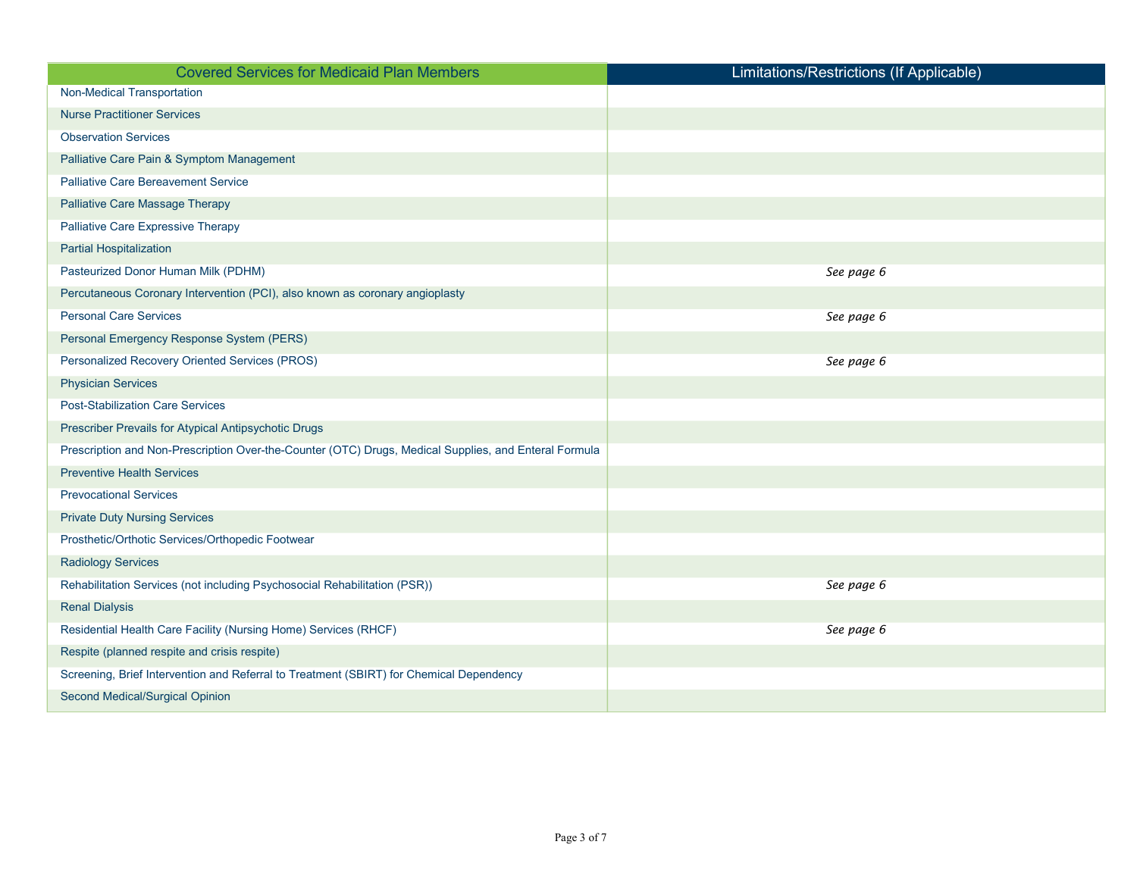| <b>Covered Services for Medicaid Plan Members</b>                                                     | Limitations/Restrictions (If Applicable) |
|-------------------------------------------------------------------------------------------------------|------------------------------------------|
| <b>Non-Medical Transportation</b>                                                                     |                                          |
| <b>Nurse Practitioner Services</b>                                                                    |                                          |
| <b>Observation Services</b>                                                                           |                                          |
| Palliative Care Pain & Symptom Management                                                             |                                          |
| <b>Palliative Care Bereavement Service</b>                                                            |                                          |
| <b>Palliative Care Massage Therapy</b>                                                                |                                          |
| Palliative Care Expressive Therapy                                                                    |                                          |
| <b>Partial Hospitalization</b>                                                                        |                                          |
| Pasteurized Donor Human Milk (PDHM)                                                                   | See page 6                               |
| Percutaneous Coronary Intervention (PCI), also known as coronary angioplasty                          |                                          |
| <b>Personal Care Services</b>                                                                         | See page 6                               |
| Personal Emergency Response System (PERS)                                                             |                                          |
| Personalized Recovery Oriented Services (PROS)                                                        | See page 6                               |
| <b>Physician Services</b>                                                                             |                                          |
| <b>Post-Stabilization Care Services</b>                                                               |                                          |
| Prescriber Prevails for Atypical Antipsychotic Drugs                                                  |                                          |
| Prescription and Non-Prescription Over-the-Counter (OTC) Drugs, Medical Supplies, and Enteral Formula |                                          |
| <b>Preventive Health Services</b>                                                                     |                                          |
| <b>Prevocational Services</b>                                                                         |                                          |
| <b>Private Duty Nursing Services</b>                                                                  |                                          |
| Prosthetic/Orthotic Services/Orthopedic Footwear                                                      |                                          |
| <b>Radiology Services</b>                                                                             |                                          |
| Rehabilitation Services (not including Psychosocial Rehabilitation (PSR))                             | See page 6                               |
| <b>Renal Dialysis</b>                                                                                 |                                          |
| Residential Health Care Facility (Nursing Home) Services (RHCF)                                       | See page 6                               |
| Respite (planned respite and crisis respite)                                                          |                                          |
| Screening, Brief Intervention and Referral to Treatment (SBIRT) for Chemical Dependency               |                                          |
| Second Medical/Surgical Opinion                                                                       |                                          |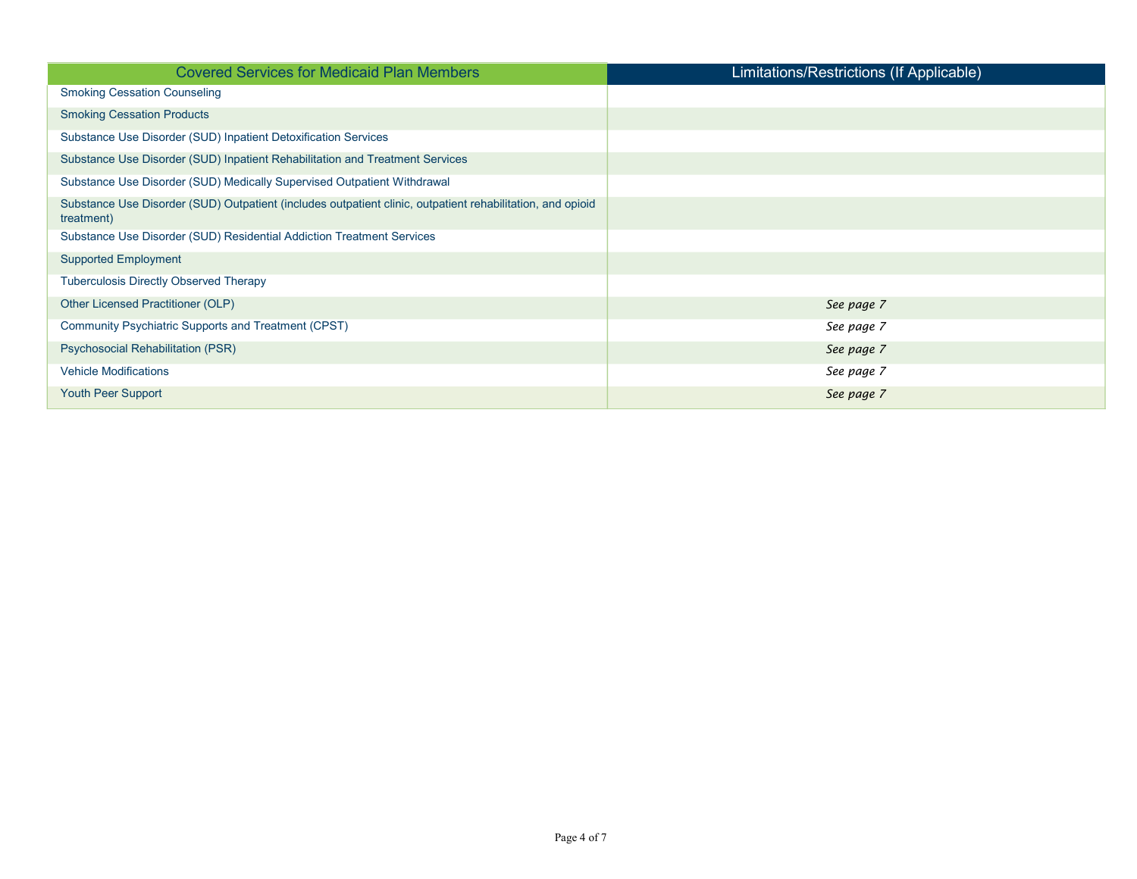| <b>Covered Services for Medicaid Plan Members</b>                                                                        | Limitations/Restrictions (If Applicable) |
|--------------------------------------------------------------------------------------------------------------------------|------------------------------------------|
| <b>Smoking Cessation Counseling</b>                                                                                      |                                          |
| <b>Smoking Cessation Products</b>                                                                                        |                                          |
| Substance Use Disorder (SUD) Inpatient Detoxification Services                                                           |                                          |
| Substance Use Disorder (SUD) Inpatient Rehabilitation and Treatment Services                                             |                                          |
| Substance Use Disorder (SUD) Medically Supervised Outpatient Withdrawal                                                  |                                          |
| Substance Use Disorder (SUD) Outpatient (includes outpatient clinic, outpatient rehabilitation, and opioid<br>treatment) |                                          |
| Substance Use Disorder (SUD) Residential Addiction Treatment Services                                                    |                                          |
| <b>Supported Employment</b>                                                                                              |                                          |
| <b>Tuberculosis Directly Observed Therapy</b>                                                                            |                                          |
| Other Licensed Practitioner (OLP)                                                                                        | See page 7                               |
| Community Psychiatric Supports and Treatment (CPST)                                                                      | See page 7                               |
| Psychosocial Rehabilitation (PSR)                                                                                        | See page 7                               |
| <b>Vehicle Modifications</b>                                                                                             | See page 7                               |
| <b>Youth Peer Support</b>                                                                                                | See page 7                               |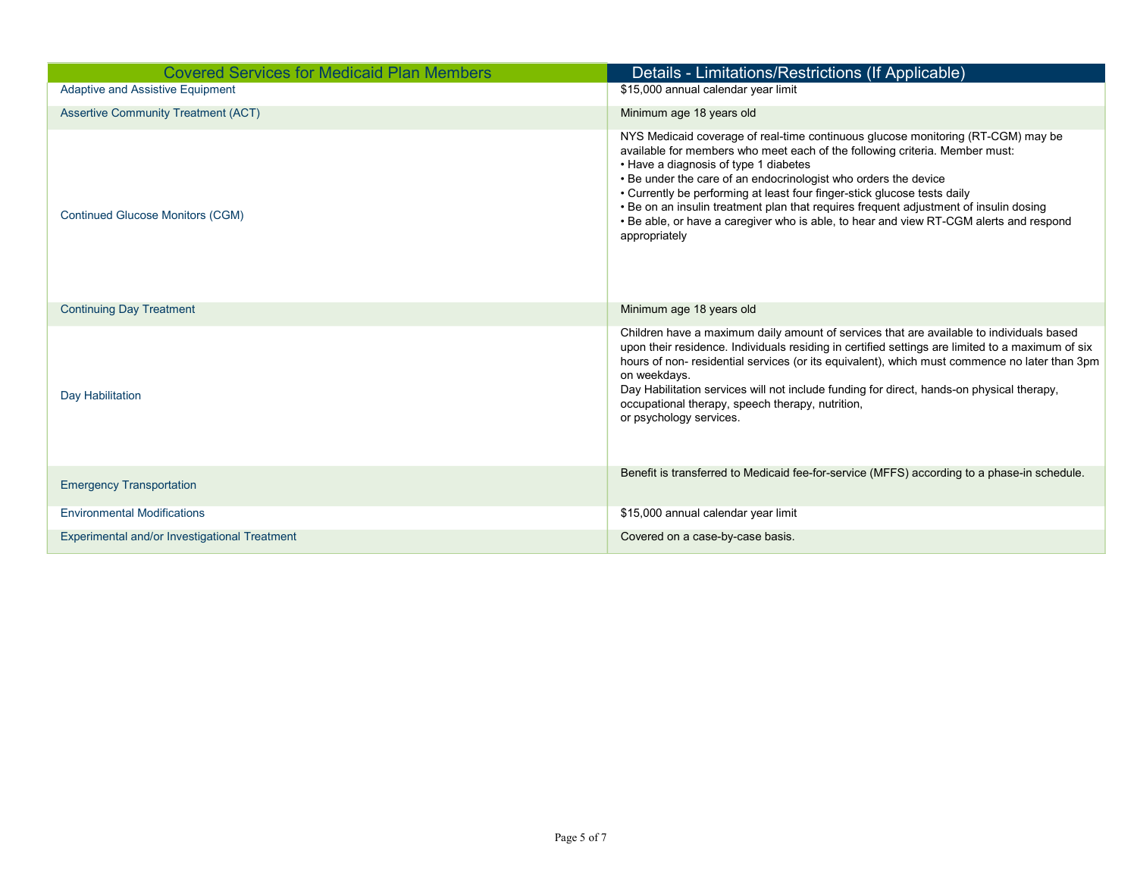| <b>Covered Services for Medicaid Plan Members</b><br>Adaptive and Assistive Equipment | Details - Limitations/Restrictions (If Applicable)<br>\$15,000 annual calendar year limit                                                                                                                                                                                                                                                                                                                                                                                                                                                                   |
|---------------------------------------------------------------------------------------|-------------------------------------------------------------------------------------------------------------------------------------------------------------------------------------------------------------------------------------------------------------------------------------------------------------------------------------------------------------------------------------------------------------------------------------------------------------------------------------------------------------------------------------------------------------|
| <b>Assertive Community Treatment (ACT)</b>                                            | Minimum age 18 years old                                                                                                                                                                                                                                                                                                                                                                                                                                                                                                                                    |
| <b>Continued Glucose Monitors (CGM)</b>                                               | NYS Medicaid coverage of real-time continuous glucose monitoring (RT-CGM) may be<br>available for members who meet each of the following criteria. Member must:<br>• Have a diagnosis of type 1 diabetes<br>• Be under the care of an endocrinologist who orders the device<br>• Currently be performing at least four finger-stick glucose tests daily<br>• Be on an insulin treatment plan that requires frequent adjustment of insulin dosing<br>• Be able, or have a caregiver who is able, to hear and view RT-CGM alerts and respond<br>appropriately |
| <b>Continuing Day Treatment</b>                                                       | Minimum age 18 years old                                                                                                                                                                                                                                                                                                                                                                                                                                                                                                                                    |
| Day Habilitation                                                                      | Children have a maximum daily amount of services that are available to individuals based<br>upon their residence. Individuals residing in certified settings are limited to a maximum of six<br>hours of non- residential services (or its equivalent), which must commence no later than 3pm<br>on weekdays.<br>Day Habilitation services will not include funding for direct, hands-on physical therapy,<br>occupational therapy, speech therapy, nutrition,<br>or psychology services.                                                                   |
| <b>Emergency Transportation</b>                                                       | Benefit is transferred to Medicaid fee-for-service (MFFS) according to a phase-in schedule.                                                                                                                                                                                                                                                                                                                                                                                                                                                                 |
| <b>Environmental Modifications</b>                                                    | \$15,000 annual calendar year limit                                                                                                                                                                                                                                                                                                                                                                                                                                                                                                                         |
| Experimental and/or Investigational Treatment                                         | Covered on a case-by-case basis.                                                                                                                                                                                                                                                                                                                                                                                                                                                                                                                            |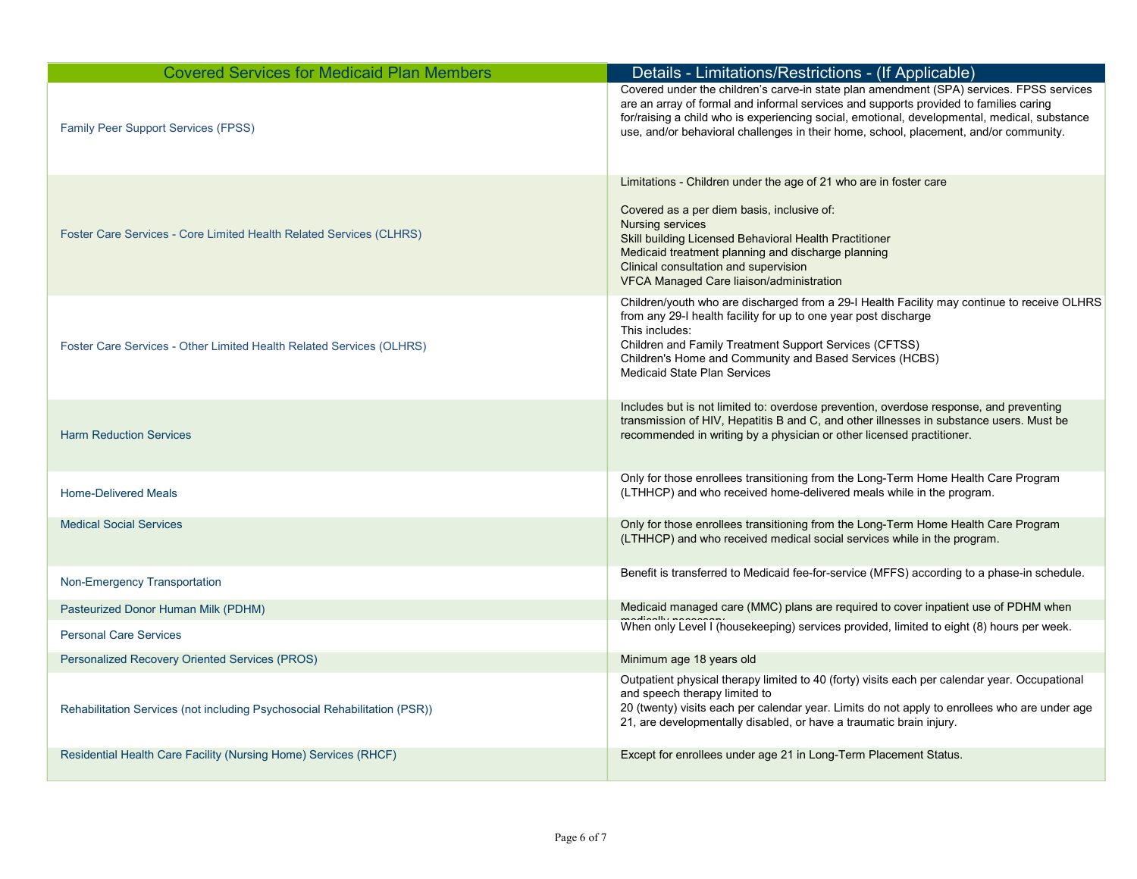| <b>Covered Services for Medicaid Plan Members</b>                         | Details - Limitations/Restrictions - (If Applicable)                                                                                                                                                                                                                                                                                                                       |
|---------------------------------------------------------------------------|----------------------------------------------------------------------------------------------------------------------------------------------------------------------------------------------------------------------------------------------------------------------------------------------------------------------------------------------------------------------------|
| <b>Family Peer Support Services (FPSS)</b>                                | Covered under the children's carve-in state plan amendment (SPA) services. FPSS services<br>are an array of formal and informal services and supports provided to families caring<br>for/raising a child who is experiencing social, emotional, developmental, medical, substance<br>use, and/or behavioral challenges in their home, school, placement, and/or community. |
|                                                                           | Limitations - Children under the age of 21 who are in foster care                                                                                                                                                                                                                                                                                                          |
| Foster Care Services - Core Limited Health Related Services (CLHRS)       | Covered as a per diem basis, inclusive of:<br><b>Nursing services</b><br>Skill building Licensed Behavioral Health Practitioner<br>Medicaid treatment planning and discharge planning<br>Clinical consultation and supervision<br>VFCA Managed Care liaison/administration                                                                                                 |
| Foster Care Services - Other Limited Health Related Services (OLHRS)      | Children/youth who are discharged from a 29-I Health Facility may continue to receive OLHRS<br>from any 29-I health facility for up to one year post discharge<br>This includes:<br>Children and Family Treatment Support Services (CFTSS)<br>Children's Home and Community and Based Services (HCBS)<br><b>Medicaid State Plan Services</b>                               |
|                                                                           |                                                                                                                                                                                                                                                                                                                                                                            |
| <b>Harm Reduction Services</b>                                            | Includes but is not limited to: overdose prevention, overdose response, and preventing<br>transmission of HIV, Hepatitis B and C, and other illnesses in substance users. Must be<br>recommended in writing by a physician or other licensed practitioner.                                                                                                                 |
| <b>Home-Delivered Meals</b>                                               | Only for those enrollees transitioning from the Long-Term Home Health Care Program<br>(LTHHCP) and who received home-delivered meals while in the program.                                                                                                                                                                                                                 |
| <b>Medical Social Services</b>                                            | Only for those enrollees transitioning from the Long-Term Home Health Care Program<br>(LTHHCP) and who received medical social services while in the program.                                                                                                                                                                                                              |
| Non-Emergency Transportation                                              | Benefit is transferred to Medicaid fee-for-service (MFFS) according to a phase-in schedule.                                                                                                                                                                                                                                                                                |
| Pasteurized Donor Human Milk (PDHM)                                       | Medicaid managed care (MMC) plans are required to cover inpatient use of PDHM when                                                                                                                                                                                                                                                                                         |
| <b>Personal Care Services</b>                                             | When only Level I (housekeeping) services provided, limited to eight (8) hours per week.                                                                                                                                                                                                                                                                                   |
| Personalized Recovery Oriented Services (PROS)                            | Minimum age 18 years old                                                                                                                                                                                                                                                                                                                                                   |
| Rehabilitation Services (not including Psychosocial Rehabilitation (PSR)) | Outpatient physical therapy limited to 40 (forty) visits each per calendar year. Occupational<br>and speech therapy limited to<br>20 (twenty) visits each per calendar year. Limits do not apply to enrollees who are under age<br>21, are developmentally disabled, or have a traumatic brain injury.                                                                     |
| Residential Health Care Facility (Nursing Home) Services (RHCF)           | Except for enrollees under age 21 in Long-Term Placement Status.                                                                                                                                                                                                                                                                                                           |